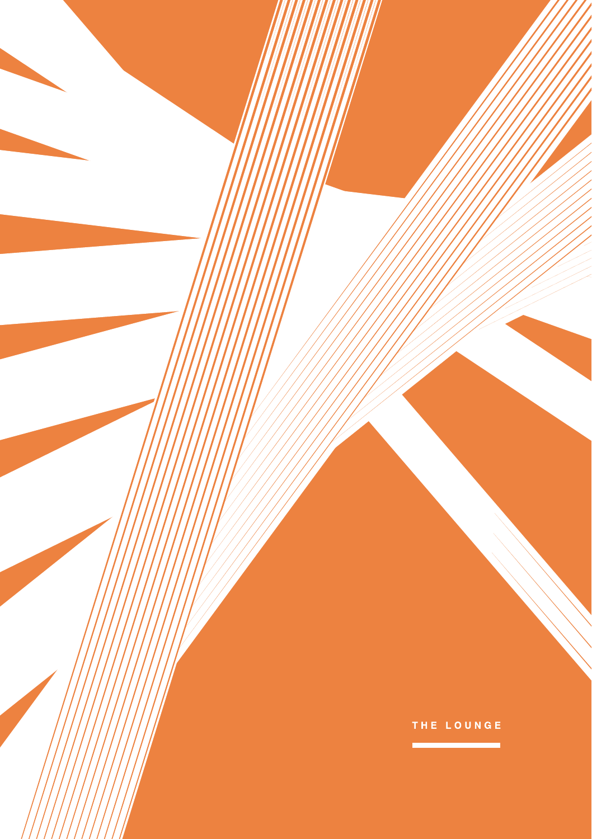